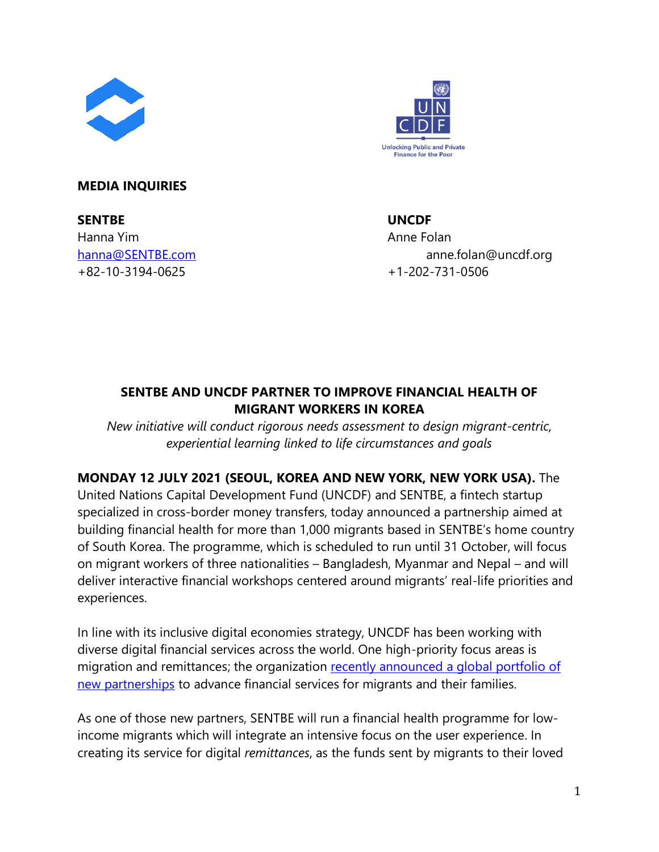



## **MEDIA INQUIRIES**

**SENTBE UNCDF** Hanna Yim **Anne Folan** +82-10-3194-0625 +1-202-731-0506

[hanna@SENTBE.com](mailto:hanna@sentbe.com) anne.folan@uncdf.org

# **SENTBE AND UNCDF PARTNER TO IMPROVE FINANCIAL HEALTH OF MIGRANT WORKERS IN KOREA**

*New initiative will conduct rigorous needs assessment to design migrant-centric, experiential learning linked to life circumstances and goals*

## **MONDAY 12 JULY 2021 (SEOUL, KOREA AND NEW YORK, NEW YORK USA).** The

United Nations Capital Development Fund (UNCDF) and SENTBE, a fintech startup specialized in cross-border money transfers, today announced a partnership aimed at building financial health for more than 1,000 migrants based in SENTBE's home country of South Korea. The programme, which is scheduled to run until 31 October, will focus on migrant workers of three nationalities – Bangladesh, Myanmar and Nepal – and will deliver interactive financial workshops centered around migrants' real-life priorities and experiences.

In line with its inclusive digital economies strategy, UNCDF has been working with diverse digital financial services across the world. One high-priority focus areas is migration and remittances; the organization [recently announced a global portfolio](https://www.uncdf.org/article/6726/uncdf-announces-global-partnerships-to-advance-financial-services-for-migrants-and-families) of [new partnerships](https://www.uncdf.org/article/6726/uncdf-announces-global-partnerships-to-advance-financial-services-for-migrants-and-families) to advance financial services for migrants and their families.

As one of those new partners, SENTBE will run a financial health programme for lowincome migrants which will integrate an intensive focus on the user experience. In creating its service for digital *remittances*, as the funds sent by migrants to their loved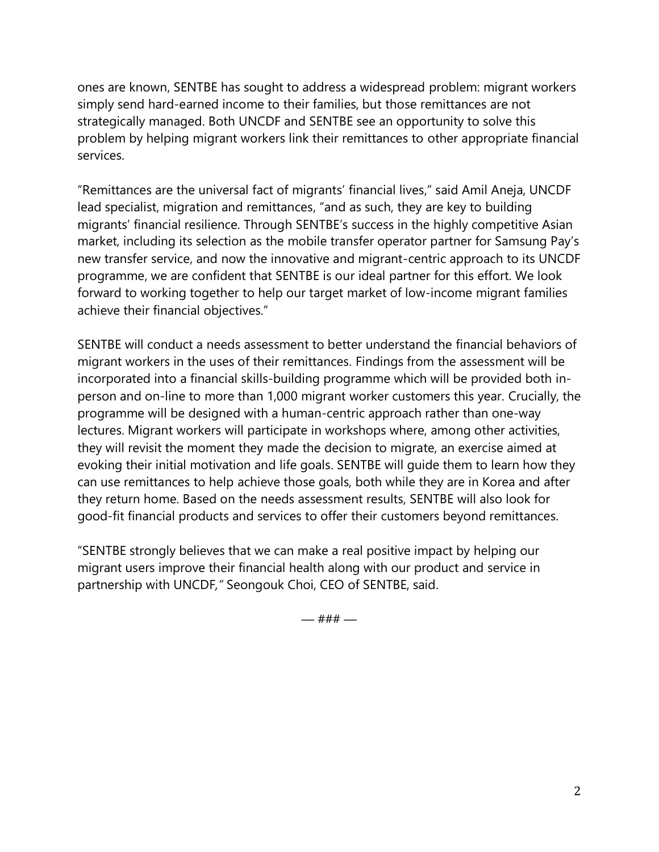ones are known, SENTBE has sought to address a widespread problem: migrant workers simply send hard-earned income to their families, but those remittances are not strategically managed. Both UNCDF and SENTBE see an opportunity to solve this problem by helping migrant workers link their remittances to other appropriate financial services.

"Remittances are the universal fact of migrants' financial lives," said Amil Aneja, UNCDF lead specialist, migration and remittances, "and as such, they are key to building migrants' financial resilience. Through SENTBE's success in the highly competitive Asian market, including its selection as the mobile transfer operator partner for Samsung Pay's new transfer service, and now the innovative and migrant-centric approach to its UNCDF programme, we are confident that SENTBE is our ideal partner for this effort. We look forward to working together to help our target market of low-income migrant families achieve their financial objectives."

SENTBE will conduct a needs assessment to better understand the financial behaviors of migrant workers in the uses of their remittances. Findings from the assessment will be incorporated into a financial skills-building programme which will be provided both inperson and on-line to more than 1,000 migrant worker customers this year. Crucially, the programme will be designed with a human-centric approach rather than one-way lectures. Migrant workers will participate in workshops where, among other activities, they will revisit the moment they made the decision to migrate, an exercise aimed at evoking their initial motivation and life goals. SENTBE will guide them to learn how they can use remittances to help achieve those goals, both while they are in Korea and after they return home. Based on the needs assessment results, SENTBE will also look for good-fit financial products and services to offer their customers beyond remittances.

"SENTBE strongly believes that we can make a real positive impact by helping our migrant users improve their financial health along with our product and service in partnership with UNCDF*,"* Seongouk Choi, CEO of SENTBE, said.

— ### —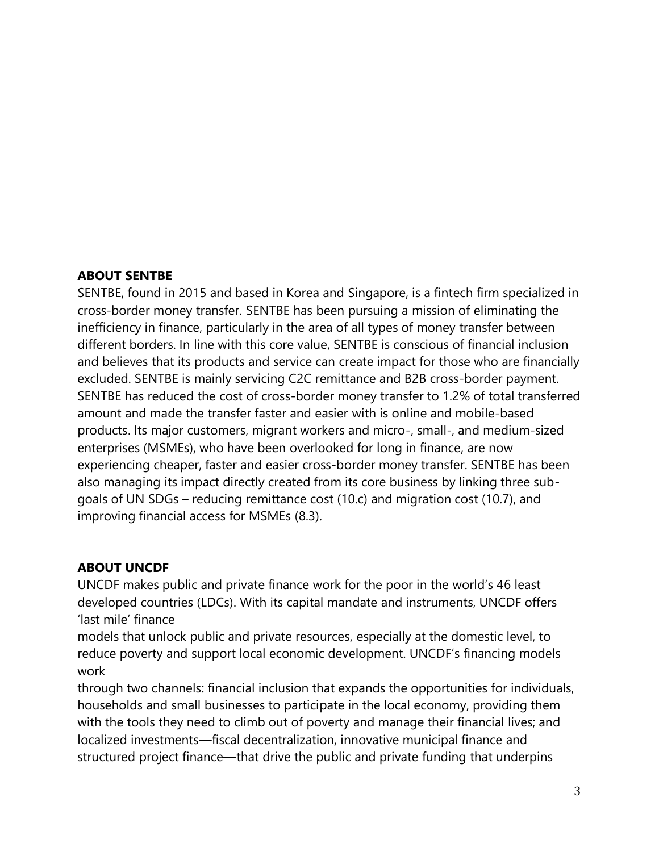## **ABOUT SENTBE**

SENTBE, found in 2015 and based in Korea and Singapore, is a fintech firm specialized in cross-border money transfer. SENTBE has been pursuing a mission of eliminating the inefficiency in finance, particularly in the area of all types of money transfer between different borders. In line with this core value, SENTBE is conscious of financial inclusion and believes that its products and service can create impact for those who are financially excluded. SENTBE is mainly servicing C2C remittance and B2B cross-border payment. SENTBE has reduced the cost of cross-border money transfer to 1.2% of total transferred amount and made the transfer faster and easier with is online and mobile-based products. Its major customers, migrant workers and micro-, small-, and medium-sized enterprises (MSMEs), who have been overlooked for long in finance, are now experiencing cheaper, faster and easier cross-border money transfer. SENTBE has been also managing its impact directly created from its core business by linking three subgoals of UN SDGs – reducing remittance cost (10.c) and migration cost (10.7), and improving financial access for MSMEs (8.3).

### **ABOUT UNCDF**

UNCDF makes public and private finance work for the poor in the world's 46 least developed countries (LDCs). With its capital mandate and instruments, UNCDF offers 'last mile' finance

models that unlock public and private resources, especially at the domestic level, to reduce poverty and support local economic development. UNCDF's financing models work

through two channels: financial inclusion that expands the opportunities for individuals, households and small businesses to participate in the local economy, providing them with the tools they need to climb out of poverty and manage their financial lives; and localized investments—fiscal decentralization, innovative municipal finance and structured project finance—that drive the public and private funding that underpins